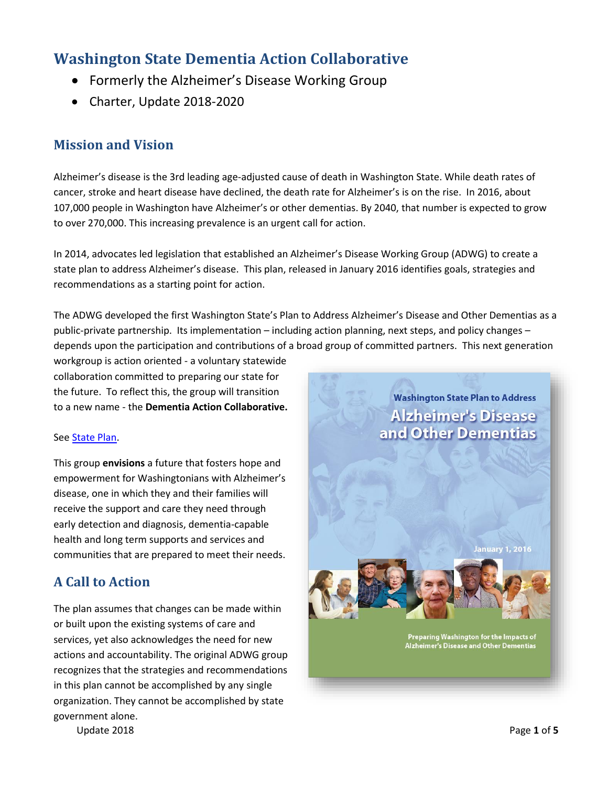# **Washington State Dementia Action Collaborative**

- Formerly the Alzheimer's Disease Working Group
- Charter, Update 2018-2020

## **Mission and Vision**

Alzheimer's disease is the 3rd leading age-adjusted cause of death in Washington State. While death rates of cancer, stroke and heart disease have declined, the death rate for Alzheimer's is on the rise. In 2016, about 107,000 people in Washington have Alzheimer's or other dementias. By 2040, that number is expected to grow to over 270,000. This increasing prevalence is an urgent call for action.

In 2014, advocates led legislation that established an Alzheimer's Disease Working Group (ADWG) to create a state plan to address Alzheimer's disease. This plan, released in January 2016 identifies goals, strategies and recommendations as a starting point for action.

The ADWG developed the first Washington State's Plan to Address Alzheimer's Disease and Other Dementias as a public-private partnership. Its implementation – including action planning, next steps, and policy changes – depends upon the participation and contributions of a broad group of committed partners. This next generation

workgroup is action oriented - a voluntary statewide collaboration committed to preparing our state for the future. To reflect this, the group will transition to a new name - the **Dementia Action Collaborative.** 

#### Se[e State Plan.](https://www.dshs.wa.gov/sites/default/files/SESA/legislative/documents/2016%20WA%20Alzheimer%27s%20State%20Plan%20-%20Full%20Report%20Final.pdf)

This group **envisions** a future that fosters hope and empowerment for Washingtonians with Alzheimer's disease, one in which they and their families will receive the support and care they need through early detection and diagnosis, dementia-capable health and long term supports and services and communities that are prepared to meet their needs.

### **A Call to Action**

The plan assumes that changes can be made within or built upon the existing systems of care and services, yet also acknowledges the need for new actions and accountability. The original ADWG group recognizes that the strategies and recommendations in this plan cannot be accomplished by any single organization. They cannot be accomplished by state government alone.

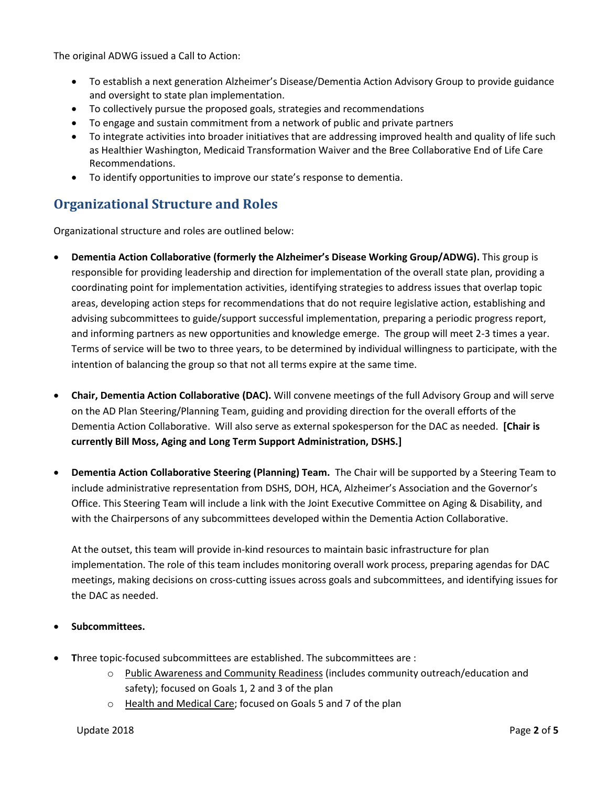The original ADWG issued a Call to Action:

- To establish a next generation Alzheimer's Disease/Dementia Action Advisory Group to provide guidance and oversight to state plan implementation.
- To collectively pursue the proposed goals, strategies and recommendations
- To engage and sustain commitment from a network of public and private partners
- To integrate activities into broader initiatives that are addressing improved health and quality of life such as Healthier Washington, Medicaid Transformation Waiver and the Bree Collaborative End of Life Care Recommendations.
- To identify opportunities to improve our state's response to dementia.

### **Organizational Structure and Roles**

Organizational structure and roles are outlined below:

- **Dementia Action Collaborative (formerly the Alzheimer's Disease Working Group/ADWG).** This group is responsible for providing leadership and direction for implementation of the overall state plan, providing a coordinating point for implementation activities, identifying strategies to address issues that overlap topic areas, developing action steps for recommendations that do not require legislative action, establishing and advising subcommittees to guide/support successful implementation, preparing a periodic progress report, and informing partners as new opportunities and knowledge emerge. The group will meet 2-3 times a year. Terms of service will be two to three years, to be determined by individual willingness to participate, with the intention of balancing the group so that not all terms expire at the same time.
- **Chair, Dementia Action Collaborative (DAC).** Will convene meetings of the full Advisory Group and will serve on the AD Plan Steering/Planning Team, guiding and providing direction for the overall efforts of the Dementia Action Collaborative. Will also serve as external spokesperson for the DAC as needed. **[Chair is currently Bill Moss, Aging and Long Term Support Administration, DSHS.]**
- **Dementia Action Collaborative Steering (Planning) Team.** The Chair will be supported by a Steering Team to include administrative representation from DSHS, DOH, HCA, Alzheimer's Association and the Governor's Office. This Steering Team will include a link with the Joint Executive Committee on Aging & Disability, and with the Chairpersons of any subcommittees developed within the Dementia Action Collaborative.

At the outset, this team will provide in-kind resources to maintain basic infrastructure for plan implementation. The role of this team includes monitoring overall work process, preparing agendas for DAC meetings, making decisions on cross-cutting issues across goals and subcommittees, and identifying issues for the DAC as needed.

#### **Subcommittees.**

- **T**hree topic-focused subcommittees are established. The subcommittees are :
	- o Public Awareness and Community Readiness (includes community outreach/education and safety); focused on Goals 1, 2 and 3 of the plan
	- o Health and Medical Care; focused on Goals 5 and 7 of the plan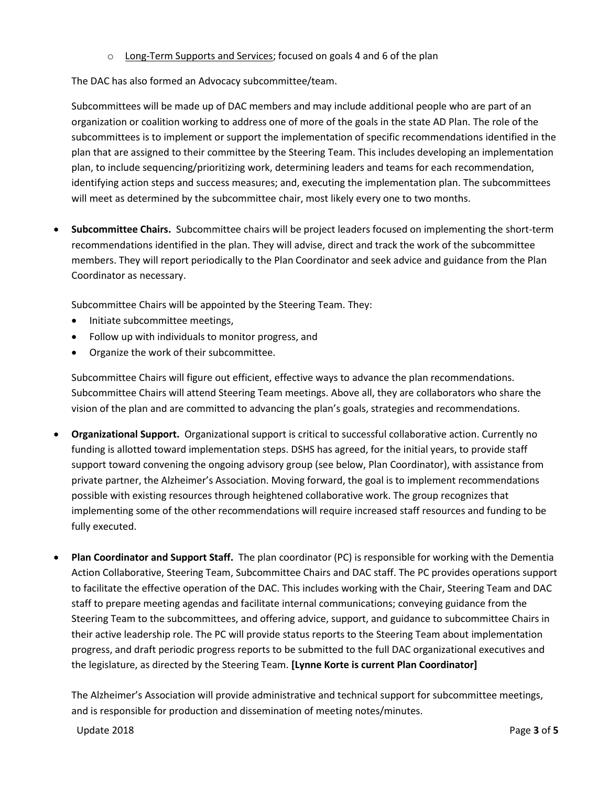o Long-Term Supports and Services; focused on goals 4 and 6 of the plan

The DAC has also formed an Advocacy subcommittee/team.

Subcommittees will be made up of DAC members and may include additional people who are part of an organization or coalition working to address one of more of the goals in the state AD Plan. The role of the subcommittees is to implement or support the implementation of specific recommendations identified in the plan that are assigned to their committee by the Steering Team. This includes developing an implementation plan, to include sequencing/prioritizing work, determining leaders and teams for each recommendation, identifying action steps and success measures; and, executing the implementation plan. The subcommittees will meet as determined by the subcommittee chair, most likely every one to two months.

 **Subcommittee Chairs.** Subcommittee chairs will be project leaders focused on implementing the short-term recommendations identified in the plan. They will advise, direct and track the work of the subcommittee members. They will report periodically to the Plan Coordinator and seek advice and guidance from the Plan Coordinator as necessary.

Subcommittee Chairs will be appointed by the Steering Team. They:

- Initiate subcommittee meetings,
- Follow up with individuals to monitor progress, and
- Organize the work of their subcommittee.

Subcommittee Chairs will figure out efficient, effective ways to advance the plan recommendations. Subcommittee Chairs will attend Steering Team meetings. Above all, they are collaborators who share the vision of the plan and are committed to advancing the plan's goals, strategies and recommendations.

- **Organizational Support.** Organizational support is critical to successful collaborative action. Currently no funding is allotted toward implementation steps. DSHS has agreed, for the initial years, to provide staff support toward convening the ongoing advisory group (see below, Plan Coordinator), with assistance from private partner, the Alzheimer's Association. Moving forward, the goal is to implement recommendations possible with existing resources through heightened collaborative work. The group recognizes that implementing some of the other recommendations will require increased staff resources and funding to be fully executed.
- **Plan Coordinator and Support Staff.** The plan coordinator (PC) is responsible for working with the Dementia Action Collaborative, Steering Team, Subcommittee Chairs and DAC staff. The PC provides operations support to facilitate the effective operation of the DAC. This includes working with the Chair, Steering Team and DAC staff to prepare meeting agendas and facilitate internal communications; conveying guidance from the Steering Team to the subcommittees, and offering advice, support, and guidance to subcommittee Chairs in their active leadership role. The PC will provide status reports to the Steering Team about implementation progress, and draft periodic progress reports to be submitted to the full DAC organizational executives and the legislature, as directed by the Steering Team. **[Lynne Korte is current Plan Coordinator]**

The Alzheimer's Association will provide administrative and technical support for subcommittee meetings, and is responsible for production and dissemination of meeting notes/minutes.

Update 2018 Page **3** of **5**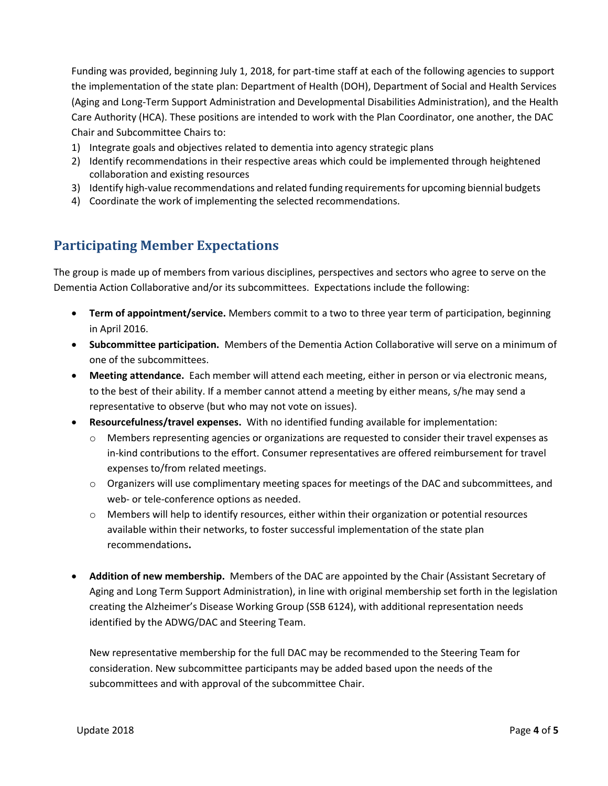Funding was provided, beginning July 1, 2018, for part-time staff at each of the following agencies to support the implementation of the state plan: Department of Health (DOH), Department of Social and Health Services (Aging and Long-Term Support Administration and Developmental Disabilities Administration), and the Health Care Authority (HCA). These positions are intended to work with the Plan Coordinator, one another, the DAC Chair and Subcommittee Chairs to:

- 1) Integrate goals and objectives related to dementia into agency strategic plans
- 2) Identify recommendations in their respective areas which could be implemented through heightened collaboration and existing resources
- 3) Identify high-value recommendations and related funding requirements for upcoming biennial budgets
- 4) Coordinate the work of implementing the selected recommendations.

#### **Participating Member Expectations**

The group is made up of members from various disciplines, perspectives and sectors who agree to serve on the Dementia Action Collaborative and/or its subcommittees. Expectations include the following:

- **Term of appointment/service.** Members commit to a two to three year term of participation, beginning in April 2016.
- **Subcommittee participation.** Members of the Dementia Action Collaborative will serve on a minimum of one of the subcommittees.
- **Meeting attendance.** Each member will attend each meeting, either in person or via electronic means, to the best of their ability. If a member cannot attend a meeting by either means, s/he may send a representative to observe (but who may not vote on issues).
- **Resourcefulness/travel expenses.** With no identified funding available for implementation:
	- $\circ$  Members representing agencies or organizations are requested to consider their travel expenses as in-kind contributions to the effort. Consumer representatives are offered reimbursement for travel expenses to/from related meetings.
	- o Organizers will use complimentary meeting spaces for meetings of the DAC and subcommittees, and web- or tele-conference options as needed.
	- $\circ$  Members will help to identify resources, either within their organization or potential resources available within their networks, to foster successful implementation of the state plan recommendations**.**
- **Addition of new membership.** Members of the DAC are appointed by the Chair (Assistant Secretary of Aging and Long Term Support Administration), in line with original membership set forth in the legislation creating the Alzheimer's Disease Working Group (SSB 6124), with additional representation needs identified by the ADWG/DAC and Steering Team.

New representative membership for the full DAC may be recommended to the Steering Team for consideration. New subcommittee participants may be added based upon the needs of the subcommittees and with approval of the subcommittee Chair.